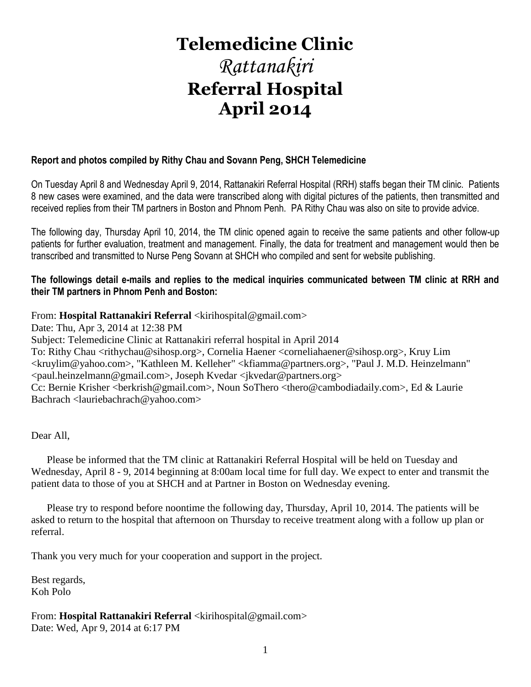# **Telemedicine Clinic**

# *Rattanakiri* **Referral Hospital April 2014**

#### **Report and photos compiled by Rithy Chau and Sovann Peng, SHCH Telemedicine**

On Tuesday April 8 and Wednesday April 9, 2014, Rattanakiri Referral Hospital (RRH) staffs began their TM clinic. Patients 8 new cases were examined, and the data were transcribed along with digital pictures of the patients, then transmitted and received replies from their TM partners in Boston and Phnom Penh. PA Rithy Chau was also on site to provide advice.

The following day, Thursday April 10, 2014, the TM clinic opened again to receive the same patients and other follow-up patients for further evaluation, treatment and management. Finally, the data for treatment and management would then be transcribed and transmitted to Nurse Peng Sovann at SHCH who compiled and sent for website publishing.

#### **The followings detail e-mails and replies to the medical inquiries communicated between TM clinic at RRH and their TM partners in Phnom Penh and Boston:**

#### From: **Hospital Rattanakiri Referral** <kirihospital@gmail.com>

Date: Thu, Apr 3, 2014 at 12:38 PM

Subject: Telemedicine Clinic at Rattanakiri referral hospital in April 2014

To: Rithy Chau <rithychau@sihosp.org>, Cornelia Haener <corneliahaener@sihosp.org>, Kruy Lim <kruylim@yahoo.com>, "Kathleen M. Kelleher" <kfiamma@partners.org>, "Paul J. M.D. Heinzelmann" <paul.heinzelmann@gmail.com>, Joseph Kvedar <jkvedar@partners.org>

Cc: Bernie Krisher <berkrish@gmail.com>, Noun SoThero <thero@cambodiadaily.com>, Ed & Laurie Bachrach <lauriebachrach@yahoo.com>

Dear All,

 Please be informed that the TM clinic at Rattanakiri Referral Hospital will be held on Tuesday and Wednesday, April 8 - 9, 2014 beginning at 8:00am local time for full day. We expect to enter and transmit the patient data to those of you at SHCH and at Partner in Boston on Wednesday evening.

 Please try to respond before noontime the following day, Thursday, April 10, 2014. The patients will be asked to return to the hospital that afternoon on Thursday to receive treatment along with a follow up plan or referral.

Thank you very much for your cooperation and support in the project.

Best regards, Koh Polo

From: **Hospital Rattanakiri Referral** <kirihospital@gmail.com> Date: Wed, Apr 9, 2014 at 6:17 PM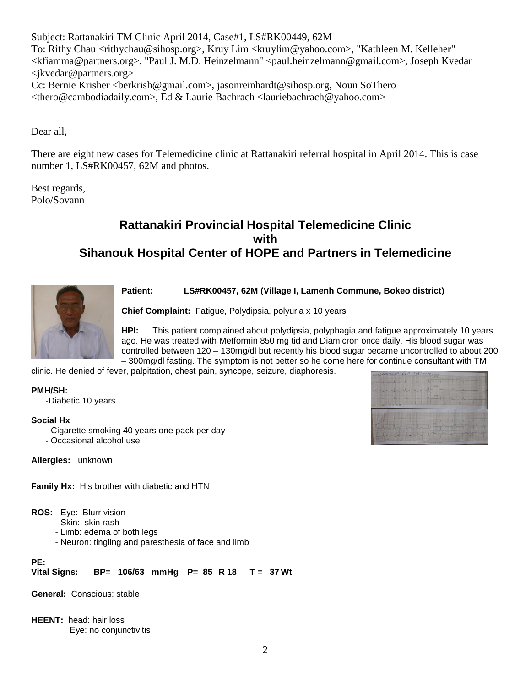Subject: Rattanakiri TM Clinic April 2014, Case#1, LS#RK00449, 62M To: Rithy Chau <rithychau@sihosp.org>, Kruy Lim <kruylim@yahoo.com>, "Kathleen M. Kelleher" <kfiamma@partners.org>, "Paul J. M.D. Heinzelmann" <paul.heinzelmann@gmail.com>, Joseph Kvedar  $\langle$  ikvedar@partners.org  $>$ Cc: Bernie Krisher <berkrish@gmail.com>, jasonreinhardt@sihosp.org, Noun SoThero <thero@cambodiadaily.com>, Ed & Laurie Bachrach <lauriebachrach@yahoo.com>

Dear all,

There are eight new cases for Telemedicine clinic at Rattanakiri referral hospital in April 2014. This is case number 1, LS#RK00457, 62M and photos.

Best regards, Polo/Sovann

# **Rattanakiri Provincial Hospital Telemedicine Clinic with Sihanouk Hospital Center of HOPE and Partners in Telemedicine**



**Patient: LS#RK00457, 62M (Village I, Lamenh Commune, Bokeo district)** 

**Chief Complaint:** Fatigue, Polydipsia, polyuria x 10 years

**HPI:** This patient complained about polydipsia, polyphagia and fatigue approximately 10 years ago. He was treated with Metformin 850 mg tid and Diamicron once daily. His blood sugar was controlled between 120 – 130mg/dl but recently his blood sugar became uncontrolled to about 200 – 300mg/dl fasting. The symptom is not better so he come here for continue consultant with TM

clinic. He denied of fever, palpitation, chest pain, syncope, seizure, diaphoresis.

**PMH/SH:**

-Diabetic 10 years

#### **Social Hx**

- Cigarette smoking 40 years one pack per day
- Occasional alcohol use

**Allergies:** unknown

**Family Hx:** His brother with diabetic and HTN

**ROS:** - Eye: Blurr vision

- Skin: skin rash
- Limb: edema of both legs
- Neuron: tingling and paresthesia of face and limb

**PE: Vital Signs: BP= 106/63 mmHg P= 85 R 18 T = 37 Wt**

**General:** Conscious: stable

**HEENT:** head: hair loss Eye: no conjunctivitis

| $= L 1.6 R K 004499627110814114$ |  |                                                             |  |  |
|----------------------------------|--|-------------------------------------------------------------|--|--|
|                                  |  | $\mathcal{L} = \mathcal{L} = \mathcal{L} = \mathcal{L} = 1$ |  |  |
|                                  |  |                                                             |  |  |
|                                  |  | marine 1                                                    |  |  |
| orders deadless Till is, re, or  |  |                                                             |  |  |
|                                  |  |                                                             |  |  |
|                                  |  |                                                             |  |  |
|                                  |  | I BLYCH                                                     |  |  |
|                                  |  | a property of the                                           |  |  |
|                                  |  |                                                             |  |  |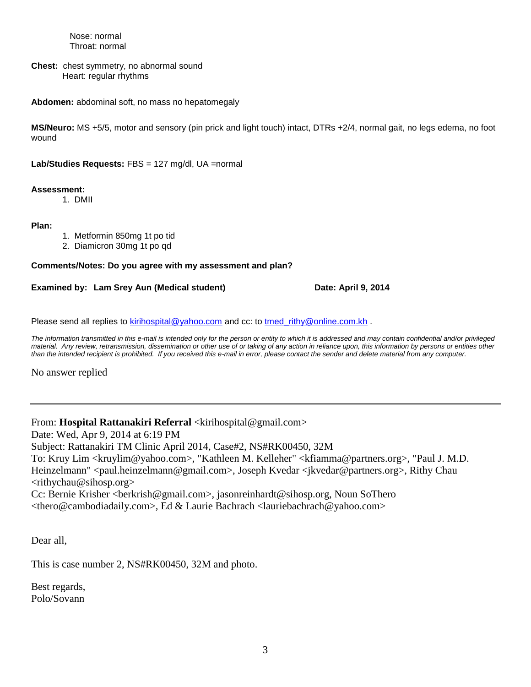Nose: normal Throat: normal

**Chest:** chest symmetry, no abnormal sound Heart: regular rhythms

**Abdomen:** abdominal soft, no mass no hepatomegaly

**MS/Neuro:** MS +5/5, motor and sensory (pin prick and light touch) intact, DTRs +2/4, normal gait, no legs edema, no foot wound

**Lab/Studies Requests:** FBS = 127 mg/dl, UA =normal

#### **Assessment:**

1. DMII

**Plan:**

- 1. Metformin 850mg 1t po tid
- 2. Diamicron 30mg 1t po qd

#### **Comments/Notes: Do you agree with my assessment and plan?**

**Examined by: Lam Srey Aun (Medical student) Date: April 9, 2014**

Please send all replies to [kirihospital@yahoo.com](mailto:kirihospital@yahoo.com) and cc: to tmed rithy@online.com.kh .

The information transmitted in this e-mail is intended only for the person or entity to which it is addressed and may contain confidential and/or privileged material. Any review, retransmission, dissemination or other use of or taking of any action in reliance upon, this information by persons or entities other *than the intended recipient is prohibited. If you received this e-mail in error, please contact the sender and delete material from any computer.*

No answer replied

From: **Hospital Rattanakiri Referral** <kirihospital@gmail.com>

Date: Wed, Apr 9, 2014 at 6:19 PM

Subject: Rattanakiri TM Clinic April 2014, Case#2, NS#RK00450, 32M

To: Kruy Lim <kruylim@yahoo.com>, "Kathleen M. Kelleher" <kfiamma@partners.org>, "Paul J. M.D. Heinzelmann" <paul.heinzelmann@gmail.com>, Joseph Kvedar <jkvedar@partners.org>, Rithy Chau <rithychau@sihosp.org>

Cc: Bernie Krisher <berkrish@gmail.com>, jasonreinhardt@sihosp.org, Noun SoThero <thero@cambodiadaily.com>, Ed & Laurie Bachrach <lauriebachrach@yahoo.com>

Dear all,

This is case number 2, NS#RK00450, 32M and photo.

Best regards, Polo/Sovann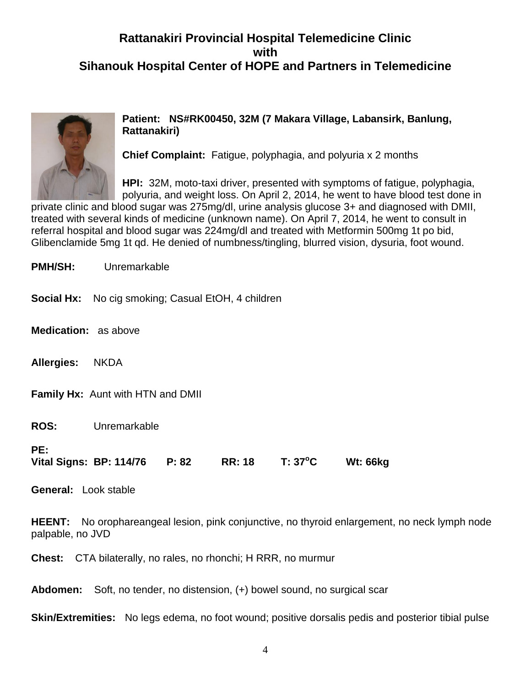# **Rattanakiri Provincial Hospital Telemedicine Clinic with Sihanouk Hospital Center of HOPE and Partners in Telemedicine**



#### **Patient: NS#RK00450, 32M (7 Makara Village, Labansirk, Banlung, Rattanakiri)**

**Chief Complaint:** Fatigue, polyphagia, and polyuria x 2 months

**HPI:** 32M, moto-taxi driver, presented with symptoms of fatigue, polyphagia, polyuria, and weight loss. On April 2, 2014, he went to have blood test done in

private clinic and blood sugar was 275mg/dl, urine analysis glucose 3+ and diagnosed with DMII, treated with several kinds of medicine (unknown name). On April 7, 2014, he went to consult in referral hospital and blood sugar was 224mg/dl and treated with Metformin 500mg 1t po bid, Glibenclamide 5mg 1t qd. He denied of numbness/tingling, blurred vision, dysuria, foot wound.

**PMH/SH:** Unremarkable **Social Hx:** No cig smoking; Casual EtOH, 4 children **Medication:** as above **Allergies:** NKDA **Family Hx:** Aunt with HTN and DMII **ROS:** Unremarkable **PE: Vital Signs: BP: 114/76 P: 82 RR: 18 T: 37<sup>o</sup>C Wt: 66kg General:** Look stable **HEENT:** No orophareangeal lesion, pink conjunctive, no thyroid enlargement, no neck lymph node palpable, no JVD **Chest:** CTA bilaterally, no rales, no rhonchi; H RRR, no murmur

**Abdomen:** Soft, no tender, no distension, (+) bowel sound, no surgical scar

**Skin/Extremities:** No legs edema, no foot wound; positive dorsalis pedis and posterior tibial pulse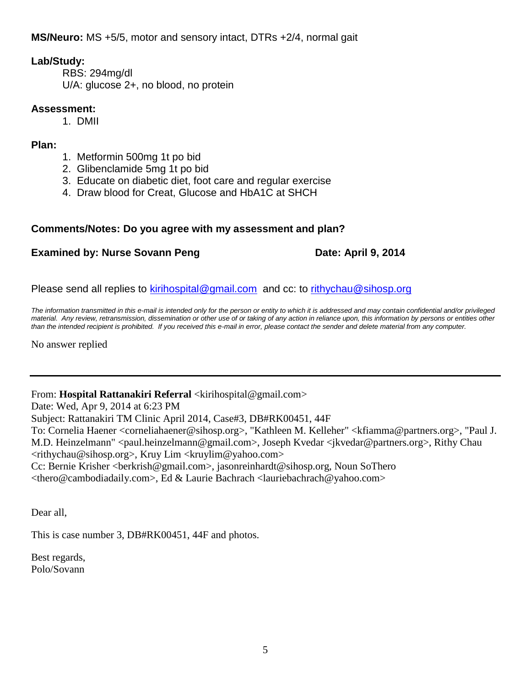**MS/Neuro:** MS +5/5, motor and sensory intact, DTRs +2/4, normal gait

#### **Lab/Study:**

RBS: 294mg/dl U/A: glucose 2+, no blood, no protein

#### **Assessment:**

1. DMII

#### **Plan:**

- 1. Metformin 500mg 1t po bid
- 2. Glibenclamide 5mg 1t po bid
- 3. Educate on diabetic diet, foot care and regular exercise
- 4. Draw blood for Creat, Glucose and HbA1C at SHCH

#### **Comments/Notes: Do you agree with my assessment and plan?**

#### **Examined by: Nurse Sovann Peng Date: April 9, 2014**

Please send all replies to [kirihospital@gmail.com](mailto:kirihospital@gmail.com) and cc: to [rithychau@sihosp.org](mailto:rithychau@sihosp.org)

*The information transmitted in this e-mail is intended only for the person or entity to which it is addressed and may contain confidential and/or privileged material. Any review, retransmission, dissemination or other use of or taking of any action in reliance upon, this information by persons or entities other than the intended recipient is prohibited. If you received this e-mail in error, please contact the sender and delete material from any computer.*

No answer replied

From: Hospital Rattanakiri Referral <kirihospital@gmail.com>

Date: Wed, Apr 9, 2014 at 6:23 PM

Subject: Rattanakiri TM Clinic April 2014, Case#3, DB#RK00451, 44F

To: Cornelia Haener <corneliahaener@sihosp.org>, "Kathleen M. Kelleher" <kfiamma@partners.org>, "Paul J. M.D. Heinzelmann" <paul.heinzelmann@gmail.com>, Joseph Kvedar < kvedar @partners.org>, Rithy Chau  $\langle$ rithychau@sihosp.org>, Kruy Lim  $\langle$ kruylim@yahoo.com>

Cc: Bernie Krisher <berkrish@gmail.com>, jasonreinhardt@sihosp.org, Noun SoThero

<thero@cambodiadaily.com>, Ed & Laurie Bachrach <lauriebachrach@yahoo.com>

Dear all,

This is case number 3, DB#RK00451, 44F and photos.

Best regards, Polo/Sovann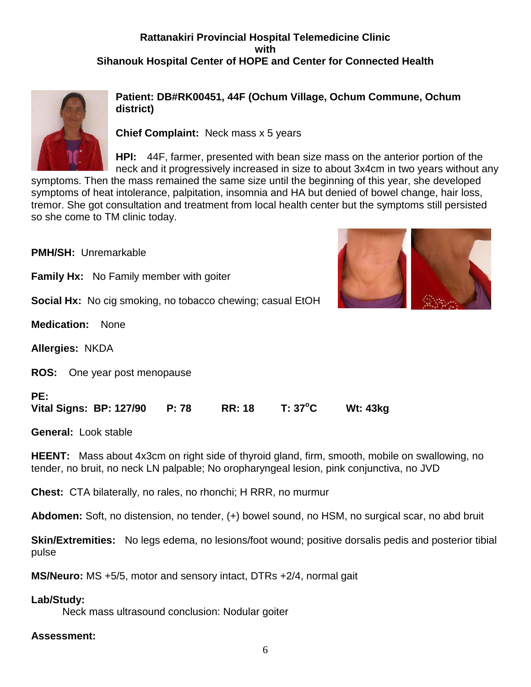# **Rattanakiri Provincial Hospital Telemedicine Clinic with Sihanouk Hospital Center of HOPE and Center for Connected Health**



**Patient: DB#RK00451, 44F (Ochum Village, Ochum Commune, Ochum district)** 

**Chief Complaint:** Neck mass x 5 years

**HPI:** 44F, farmer, presented with bean size mass on the anterior portion of the neck and it progressively increased in size to about 3x4cm in two years without any

symptoms. Then the mass remained the same size until the beginning of this year, she developed symptoms of heat intolerance, palpitation, insomnia and HA but denied of bowel change, hair loss, tremor. She got consultation and treatment from local health center but the symptoms still persisted so she come to TM clinic today.

**PMH/SH:** Unremarkable **Family Hx:** No Family member with goiter **Social Hx:** No cig smoking, no tobacco chewing; casual EtOH **Medication:** None **Allergies:** NKDA **ROS:** One year post menopause **PE: Vital Signs: BP: 127/90 P: 78 RR: 18 T: 37<sup>o</sup>C Wt: 43kg** 

**General:** Look stable

**HEENT:** Mass about 4x3cm on right side of thyroid gland, firm, smooth, mobile on swallowing, no tender, no bruit, no neck LN palpable; No oropharyngeal lesion, pink conjunctiva, no JVD

**Chest:** CTA bilaterally, no rales, no rhonchi; H RRR, no murmur

**Abdomen:** Soft, no distension, no tender, (+) bowel sound, no HSM, no surgical scar, no abd bruit

**Skin/Extremities:** No legs edema, no lesions/foot wound; positive dorsalis pedis and posterior tibial pulse

**MS/Neuro:** MS +5/5, motor and sensory intact, DTRs +2/4, normal gait

#### **Lab/Study:**

Neck mass ultrasound conclusion: Nodular goiter

#### **Assessment:**

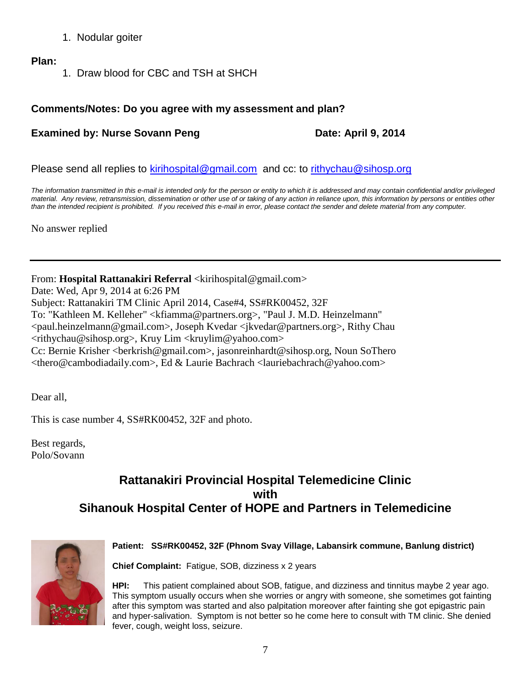- 1. Nodular goiter
- **Plan:**
- 1. Draw blood for CBC and TSH at SHCH

#### **Comments/Notes: Do you agree with my assessment and plan?**

#### **Examined by: Nurse Sovann Peng Date: April 9, 2014**

Please send all replies to [kirihospital@gmail.com](mailto:kirihospital@gmail.com) and cc: to [rithychau@sihosp.org](mailto:rithychau@sihosp.org)

*The information transmitted in this e-mail is intended only for the person or entity to which it is addressed and may contain confidential and/or privileged*  material. Any review, retransmission, dissemination or other use of or taking of any action in reliance upon, this information by persons or entities other *than the intended recipient is prohibited. If you received this e-mail in error, please contact the sender and delete material from any computer.*

No answer replied

From: **Hospital Rattanakiri Referral** <kirihospital@gmail.com> Date: Wed, Apr 9, 2014 at 6:26 PM Subject: Rattanakiri TM Clinic April 2014, Case#4, SS#RK00452, 32F To: "Kathleen M. Kelleher" <kfiamma@partners.org>, "Paul J. M.D. Heinzelmann" <paul.heinzelmann@gmail.com>, Joseph Kvedar <jkvedar@partners.org>, Rithy Chau  $\langle$ rithychau@sihosp.org>, Kruy Lim  $\langle$ kruylim@yahoo.com> Cc: Bernie Krisher <berkrish@gmail.com>, jasonreinhardt@sihosp.org, Noun SoThero <thero@cambodiadaily.com>, Ed & Laurie Bachrach <lauriebachrach@yahoo.com>

Dear all,

This is case number 4, SS#RK00452, 32F and photo.

Best regards, Polo/Sovann

# **Rattanakiri Provincial Hospital Telemedicine Clinic with Sihanouk Hospital Center of HOPE and Partners in Telemedicine**



#### **Patient: SS#RK00452, 32F (Phnom Svay Village, Labansirk commune, Banlung district)**

**Chief Complaint:** Fatigue, SOB, dizziness x 2 years

**HPI:** This patient complained about SOB, fatigue, and dizziness and tinnitus maybe 2 year ago. This symptom usually occurs when she worries or angry with someone, she sometimes got fainting after this symptom was started and also palpitation moreover after fainting she got epigastric pain and hyper-salivation. Symptom is not better so he come here to consult with TM clinic. She denied fever, cough, weight loss, seizure.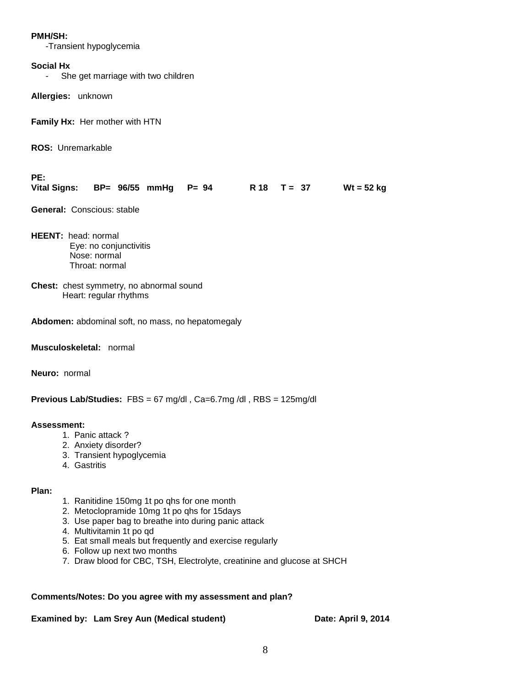#### **PMH/SH:**

-Transient hypoglycemia

#### **Social Hx**

- She get marriage with two children

**Allergies:** unknown

**Family Hx:** Her mother with HTN

**ROS:** Unremarkable

**PE:**

| Vital Signs: BP= 96/55 mmHg P= 94 |  |  |  |  | R $18$ T = 37 |  |  | $Wt = 52$ kg |
|-----------------------------------|--|--|--|--|---------------|--|--|--------------|
|-----------------------------------|--|--|--|--|---------------|--|--|--------------|

**General:** Conscious: stable

- **HEENT:** head: normal Eye: no conjunctivitis Nose: normal Throat: normal
- **Chest:** chest symmetry, no abnormal sound Heart: regular rhythms

**Abdomen:** abdominal soft, no mass, no hepatomegaly

**Musculoskeletal:** normal

**Neuro:** normal

**Previous Lab/Studies:** FBS = 67 mg/dl , Ca=6.7mg /dl , RBS = 125mg/dl

#### **Assessment:**

- 1. Panic attack ?
- 2. Anxiety disorder?
- 3. Transient hypoglycemia
- 4. Gastritis

#### **Plan:**

- 1. Ranitidine 150mg 1t po qhs for one month
- 2. Metoclopramide 10mg 1t po qhs for 15days
- 3. Use paper bag to breathe into during panic attack
- 4. Multivitamin 1t po qd
- 5. Eat small meals but frequently and exercise regularly
- 6. Follow up next two months
- 7. Draw blood for CBC, TSH, Electrolyte, creatinine and glucose at SHCH

#### **Comments/Notes: Do you agree with my assessment and plan?**

#### **Examined by: Lam Srey Aun (Medical student) Date: April 9, 2014**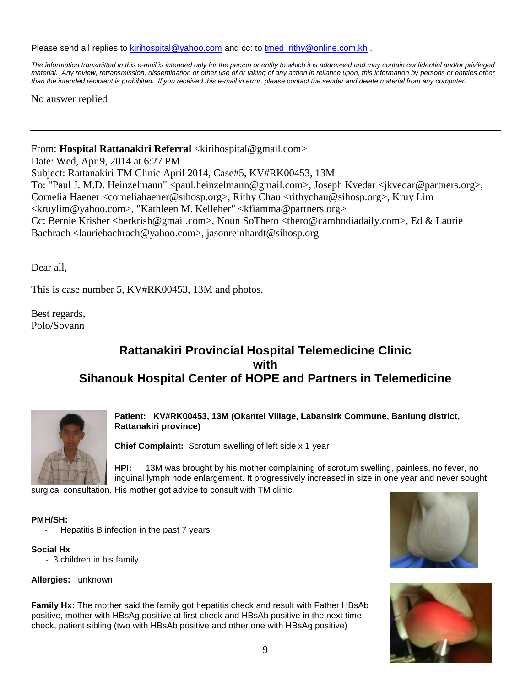Please send all replies to [kirihospital@yahoo.com](mailto:kirihospital@yahoo.com) and cc: to [tmed\\_rithy@online.com.kh](mailto:tmed_rithy@bigpond.com.kh) .

*The information transmitted in this e-mail is intended only for the person or entity to which it is addressed and may contain confidential and/or privileged material. Any review, retransmission, dissemination or other use of or taking of any action in reliance upon, this information by persons or entities other than the intended recipient is prohibited. If you received this e-mail in error, please contact the sender and delete material from any computer.*

No answer replied

From: **Hospital Rattanakiri Referral** <kirihospital@gmail.com>

Date: Wed, Apr 9, 2014 at 6:27 PM Subject: Rattanakiri TM Clinic April 2014, Case#5, KV#RK00453, 13M To: "Paul J. M.D. Heinzelmann" <paul.heinzelmann@gmail.com>, Joseph Kvedar <jkvedar@partners.org>, Cornelia Haener <corneliahaener@sihosp.org>, Rithy Chau <rithychau@sihosp.org>, Kruy Lim <kruylim@yahoo.com>, "Kathleen M. Kelleher" <kfiamma@partners.org> Cc: Bernie Krisher <berkrish@gmail.com>, Noun SoThero <thero@cambodiadaily.com>, Ed & Laurie Bachrach <lauriebachrach@yahoo.com>, jasonreinhardt@sihosp.org

Dear all,

This is case number 5, KV#RK00453, 13M and photos.

Best regards, Polo/Sovann

# **Rattanakiri Provincial Hospital Telemedicine Clinic with Sihanouk Hospital Center of HOPE and Partners in Telemedicine**



**Patient: KV#RK00453, 13M (Okantel Village, Labansirk Commune, Banlung district, Rattanakiri province)**

**Chief Complaint:** Scrotum swelling of left side x 1 year

**HPI:** 13M was brought by his mother complaining of scrotum swelling, painless, no fever, no inguinal lymph node enlargement. It progressively increased in size in one year and never sought

surgical consultation. His mother got advice to consult with TM clinic.

#### **PMH/SH:**

Hepatitis B infection in the past 7 years

#### **Social Hx**

- 3 children in his family

**Allergies:** unknown

**Family Hx:** The mother said the family got hepatitis check and result with Father HBsAb positive, mother with HBsAg positive at first check and HBsAb positive in the next time check, patient sibling (two with HBsAb positive and other one with HBsAg positive)



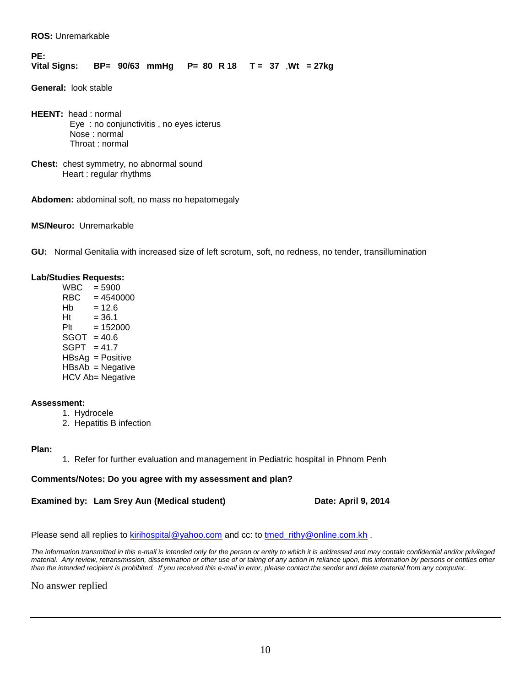**ROS:** Unremarkable

#### **PE: Vital Signs: BP= 90/63 mmHg P= 80 R 18 T = 37** ,**Wt = 27kg**

**General:** look stable

**HEENT:** head : normal Eye : no conjunctivitis , no eyes icterus Nose : normal Throat : normal

**Chest:** chest symmetry, no abnormal sound Heart : regular rhythms

**Abdomen:** abdominal soft, no mass no hepatomegaly

**MS/Neuro:** Unremarkable

**GU:** Normal Genitalia with increased size of left scrotum, soft, no redness, no tender, transillumination

#### **Lab/Studies Requests:**

 $WBC = 5900$ <br>RBC = 4540  $= 4540000$  $Hb = 12.6$  $Ht = 36.1$  $P1t = 152000$  $SGOT = 40.6$  $SGPT = 41.7$ HBsAg = Positive HBsAb = Negative HCV Ab= Negative

#### **Assessment:**

- 1. Hydrocele
- 2. Hepatitis B infection

#### **Plan:**

1. Refer for further evaluation and management in Pediatric hospital in Phnom Penh

#### **Comments/Notes: Do you agree with my assessment and plan?**

#### **Examined by: Lam Srey Aun (Medical student) Date: April 9, 2014**

#### Please send all replies to [kirihospital@yahoo.com](mailto:kirihospital@yahoo.com) and cc: to [tmed\\_rithy@online.com.kh](mailto:tmed_rithy@bigpond.com.kh) .

*The information transmitted in this e-mail is intended only for the person or entity to which it is addressed and may contain confidential and/or privileged material. Any review, retransmission, dissemination or other use of or taking of any action in reliance upon, this information by persons or entities other than the intended recipient is prohibited. If you received this e-mail in error, please contact the sender and delete material from any computer.*

No answer replied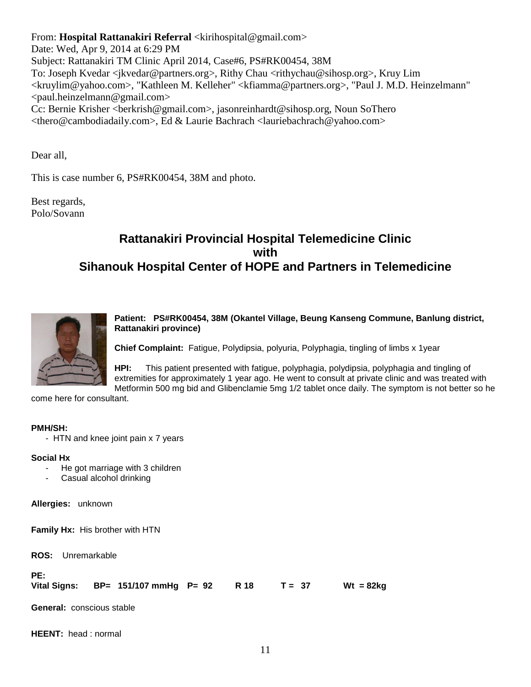From: **Hospital Rattanakiri Referral** <kirihospital@gmail.com> Date: Wed, Apr 9, 2014 at 6:29 PM Subject: Rattanakiri TM Clinic April 2014, Case#6, PS#RK00454, 38M To: Joseph Kvedar <jkvedar@partners.org>, Rithy Chau <rithychau@sihosp.org>, Kruy Lim <kruylim@yahoo.com>, "Kathleen M. Kelleher" <kfiamma@partners.org>, "Paul J. M.D. Heinzelmann" <paul.heinzelmann@gmail.com> Cc: Bernie Krisher <berkrish@gmail.com>, jasonreinhardt@sihosp.org, Noun SoThero <thero@cambodiadaily.com>, Ed & Laurie Bachrach <lauriebachrach@yahoo.com>

Dear all,

This is case number 6, PS#RK00454, 38M and photo.

Best regards, Polo/Sovann

# **Rattanakiri Provincial Hospital Telemedicine Clinic with Sihanouk Hospital Center of HOPE and Partners in Telemedicine**



**Patient: PS#RK00454, 38M (Okantel Village, Beung Kanseng Commune, Banlung district, Rattanakiri province)**

**Chief Complaint:** Fatigue, Polydipsia, polyuria, Polyphagia, tingling of limbs x 1year

**HPI:** This patient presented with fatigue, polyphagia, polydipsia, polyphagia and tingling of extremities for approximately 1 year ago. He went to consult at private clinic and was treated with Metformin 500 mg bid and Glibenclamie 5mg 1/2 tablet once daily. The symptom is not better so he

come here for consultant.

#### **PMH/SH:**

- HTN and knee joint pain x 7 years

#### **Social Hx**

- He got marriage with 3 children
- Casual alcohol drinking

**Allergies:** unknown

**Family Hx:** His brother with HTN

**ROS:** Unremarkable

| PE: |                                                 |  |             |
|-----|-------------------------------------------------|--|-------------|
|     | Vital Signs: BP= 151/107 mmHg P= 92 R 18 T = 37 |  | $Wt = 82kg$ |

**General:** conscious stable

**HEENT:** head : normal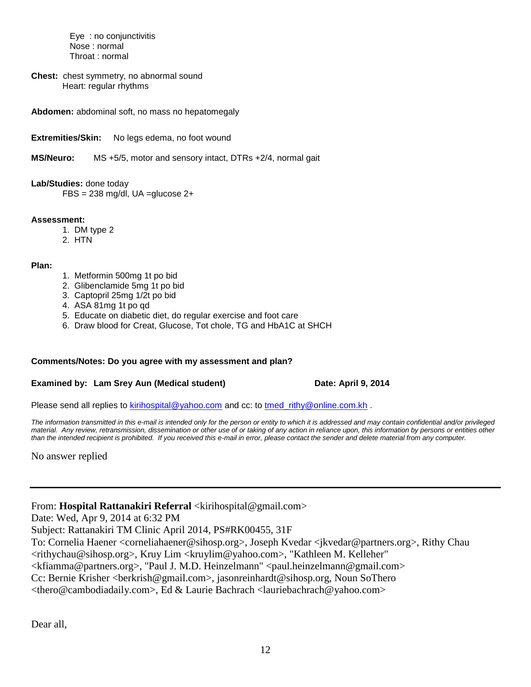Eye : no conjunctivitis Nose : normal Throat : normal

**Chest:** chest symmetry, no abnormal sound Heart: regular rhythms

**Abdomen:** abdominal soft, no mass no hepatomegaly

**Extremities/Skin:** No legs edema, no foot wound

**MS/Neuro:** MS +5/5, motor and sensory intact, DTRs +2/4, normal gait

**Lab/Studies:** done today

 $FBS = 238$  mg/dl, UA = glucose  $2+$ 

#### **Assessment:**

- 1. DM type 2
- 2. HTN

**Plan:**

- 1. Metformin 500mg 1t po bid
- 2. Glibenclamide 5mg 1t po bid
- 3. Captopril 25mg 1/2t po bid
- 4. ASA 81mg 1t po qd
- 5. Educate on diabetic diet, do regular exercise and foot care
- 6. Draw blood for Creat, Glucose, Tot chole, TG and HbA1C at SHCH

#### **Comments/Notes: Do you agree with my assessment and plan?**

#### **Examined by: Lam Srey Aun (Medical student) Date: April 9, 2014**

Please send all replies to [kirihospital@yahoo.com](mailto:kirihospital@yahoo.com) and cc: to [tmed\\_rithy@online.com.kh](mailto:tmed_rithy@bigpond.com.kh) .

*The information transmitted in this e-mail is intended only for the person or entity to which it is addressed and may contain confidential and/or privileged material. Any review, retransmission, dissemination or other use of or taking of any action in reliance upon, this information by persons or entities other than the intended recipient is prohibited. If you received this e-mail in error, please contact the sender and delete material from any computer.*

No answer replied

From: **Hospital Rattanakiri Referral** <kirihospital@gmail.com>

Date: Wed, Apr 9, 2014 at 6:32 PM

Subject: Rattanakiri TM Clinic April 2014, PS#RK00455, 31F

To: Cornelia Haener <corneliahaener@sihosp.org>, Joseph Kvedar <jkvedar@partners.org>, Rithy Chau

<rithychau@sihosp.org>, Kruy Lim <kruylim@yahoo.com>, "Kathleen M. Kelleher"

<kfiamma@partners.org>, "Paul J. M.D. Heinzelmann" <paul.heinzelmann@gmail.com>

Cc: Bernie Krisher <berkrish@gmail.com>, jasonreinhardt@sihosp.org, Noun SoThero

<thero@cambodiadaily.com>, Ed & Laurie Bachrach <lauriebachrach@yahoo.com>

Dear all,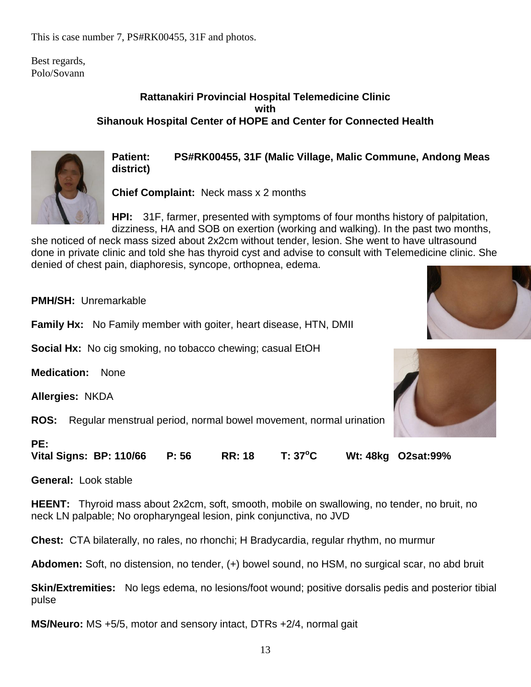This is case number 7, PS#RK00455, 31F and photos.

Best regards, Polo/Sovann

#### **Rattanakiri Provincial Hospital Telemedicine Clinic with Sihanouk Hospital Center of HOPE and Center for Connected Health**



**Patient: PS#RK00455, 31F (Malic Village, Malic Commune, Andong Meas district)** 

**Chief Complaint:** Neck mass x 2 months

**HPI:** 31F, farmer, presented with symptoms of four months history of palpitation, dizziness, HA and SOB on exertion (working and walking). In the past two months,

she noticed of neck mass sized about 2x2cm without tender, lesion. She went to have ultrasound done in private clinic and told she has thyroid cyst and advise to consult with Telemedicine clinic. She denied of chest pain, diaphoresis, syncope, orthopnea, edema.

**PMH/SH:** Unremarkable

**Family Hx:** No Family member with goiter, heart disease, HTN, DMII

**Social Hx:** No cig smoking, no tobacco chewing; casual EtOH

**Medication:** None

**Allergies:** NKDA

**ROS:** Regular menstrual period, normal bowel movement, normal urination

#### **PE:**

**Vital Signs: BP: 110/66 P: 56 RR: 18 T: 37<sup>o</sup>C Wt: 48kg O2sat:99%**

**General:** Look stable

**HEENT:** Thyroid mass about 2x2cm, soft, smooth, mobile on swallowing, no tender, no bruit, no neck LN palpable; No oropharyngeal lesion, pink conjunctiva, no JVD

**Chest:** CTA bilaterally, no rales, no rhonchi; H Bradycardia, regular rhythm, no murmur

**Abdomen:** Soft, no distension, no tender, (+) bowel sound, no HSM, no surgical scar, no abd bruit

**Skin/Extremities:** No legs edema, no lesions/foot wound; positive dorsalis pedis and posterior tibial pulse

**MS/Neuro:** MS +5/5, motor and sensory intact, DTRs +2/4, normal gait



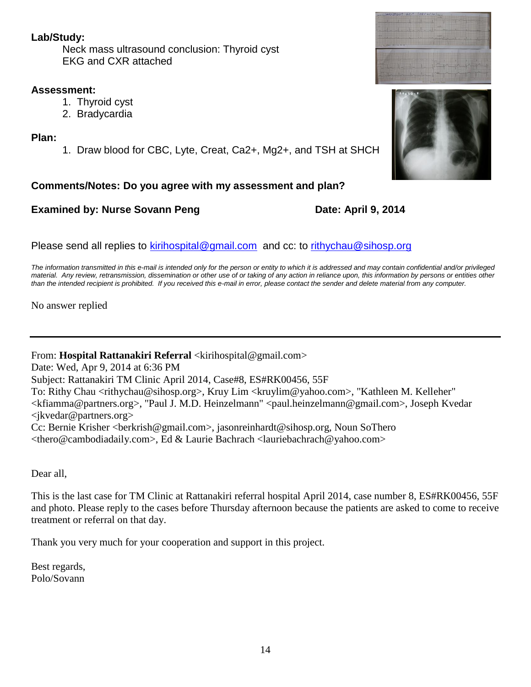Neck mass ultrasound conclusion: Thyroid cyst EKG and CXR attached

#### **Assessment:**

- 1. Thyroid cyst
- 2. Bradycardia

#### **Plan:**

1. Draw blood for CBC, Lyte, Creat, Ca2+, Mg2+, and TSH at SHCH

#### **Comments/Notes: Do you agree with my assessment and plan?**

#### **Examined by: Nurse Sovann Peng Date: April 9, 2014**

Please send all replies to [kirihospital@gmail.com](mailto:kirihospital@gmail.com) and cc: to [rithychau@sihosp.org](mailto:rithychau@sihosp.org)

*The information transmitted in this e-mail is intended only for the person or entity to which it is addressed and may contain confidential and/or privileged material. Any review, retransmission, dissemination or other use of or taking of any action in reliance upon, this information by persons or entities other than the intended recipient is prohibited. If you received this e-mail in error, please contact the sender and delete material from any computer.*

No answer replied

From: Hospital Rattanakiri Referral <kirihospital@gmail.com>

Date: Wed, Apr 9, 2014 at 6:36 PM

Subject: Rattanakiri TM Clinic April 2014, Case#8, ES#RK00456, 55F

To: Rithy Chau <rithychau@sihosp.org>, Kruy Lim <kruylim@yahoo.com>, "Kathleen M. Kelleher" <kfiamma@partners.org>, "Paul J. M.D. Heinzelmann" <paul.heinzelmann@gmail.com>, Joseph Kvedar <jkvedar@partners.org>

Cc: Bernie Krisher <berkrish@gmail.com>, jasonreinhardt@sihosp.org, Noun SoThero <thero@cambodiadaily.com>, Ed & Laurie Bachrach <lauriebachrach@yahoo.com>

Dear all,

This is the last case for TM Clinic at Rattanakiri referral hospital April 2014, case number 8, ES#RK00456, 55F and photo. Please reply to the cases before Thursday afternoon because the patients are asked to come to receive treatment or referral on that day.

Thank you very much for your cooperation and support in this project.

Best regards, Polo/Sovann

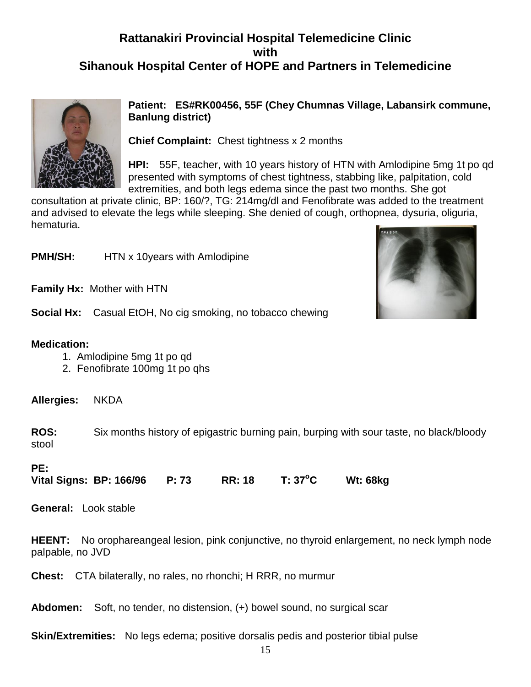# **Rattanakiri Provincial Hospital Telemedicine Clinic with Sihanouk Hospital Center of HOPE and Partners in Telemedicine**



**Patient: ES#RK00456, 55F (Chey Chumnas Village, Labansirk commune, Banlung district)** 

**Chief Complaint:** Chest tightness x 2 months

**HPI:** 55F, teacher, with 10 years history of HTN with Amlodipine 5mg 1t po qd presented with symptoms of chest tightness, stabbing like, palpitation, cold extremities, and both legs edema since the past two months. She got

consultation at private clinic, BP: 160/?, TG: 214mg/dl and Fenofibrate was added to the treatment and advised to elevate the legs while sleeping. She denied of cough, orthopnea, dysuria, oliguria, hematuria.

**PMH/SH:** HTN x 10years with Amlodipine

**Family Hx:** Mother with HTN

**Social Hx:** Casual EtOH, No cig smoking, no tobacco chewing

#### **Medication:**

- 1. Amlodipine 5mg 1t po qd
- 2. Fenofibrate 100mg 1t po qhs

**Allergies:** NKDA

**ROS:** Six months history of epigastric burning pain, burping with sour taste, no black/bloody stool

#### **PE:**

**Vital Signs: BP: 166/96 P: 73 RR: 18 T: 37<sup>o</sup>C Wt: 68kg** 

**General:** Look stable

**HEENT:** No orophareangeal lesion, pink conjunctive, no thyroid enlargement, no neck lymph node palpable, no JVD

**Chest:** CTA bilaterally, no rales, no rhonchi; H RRR, no murmur

**Abdomen:** Soft, no tender, no distension, (+) bowel sound, no surgical scar

**Skin/Extremities:** No legs edema; positive dorsalis pedis and posterior tibial pulse

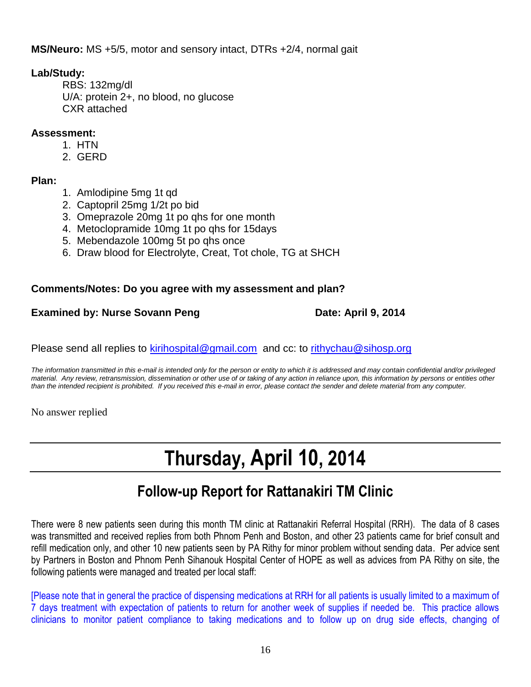**MS/Neuro:** MS +5/5, motor and sensory intact, DTRs +2/4, normal gait

#### **Lab/Study:**

RBS: 132mg/dl U/A: protein 2+, no blood, no glucose CXR attached

#### **Assessment:**

- 1. HTN
- 2. GERD

#### **Plan:**

- 1. Amlodipine 5mg 1t qd
- 2. Captopril 25mg 1/2t po bid
- 3. Omeprazole 20mg 1t po qhs for one month
- 4. Metoclopramide 10mg 1t po qhs for 15days
- 5. Mebendazole 100mg 5t po qhs once
- 6. Draw blood for Electrolyte, Creat, Tot chole, TG at SHCH

#### **Comments/Notes: Do you agree with my assessment and plan?**

#### **Examined by: Nurse Sovann Peng Date: April 9, 2014**

Please send all replies to [kirihospital@gmail.com](mailto:kirihospital@gmail.com) and cc: to [rithychau@sihosp.org](mailto:rithychau@sihosp.org)

*The information transmitted in this e-mail is intended only for the person or entity to which it is addressed and may contain confidential and/or privileged material. Any review, retransmission, dissemination or other use of or taking of any action in reliance upon, this information by persons or entities other than the intended recipient is prohibited. If you received this e-mail in error, please contact the sender and delete material from any computer.*

No answer replied

# **Thursday, April 10, 2014**

# **Follow-up Report for Rattanakiri TM Clinic**

There were 8 new patients seen during this month TM clinic at Rattanakiri Referral Hospital (RRH). The data of 8 cases was transmitted and received replies from both Phnom Penh and Boston, and other 23 patients came for brief consult and refill medication only, and other 10 new patients seen by PA Rithy for minor problem without sending data. Per advice sent by Partners in Boston and Phnom Penh Sihanouk Hospital Center of HOPE as well as advices from PA Rithy on site, the following patients were managed and treated per local staff:

[Please note that in general the practice of dispensing medications at RRH for all patients is usually limited to a maximum of 7 days treatment with expectation of patients to return for another week of supplies if needed be. This practice allows clinicians to monitor patient compliance to taking medications and to follow up on drug side effects, changing of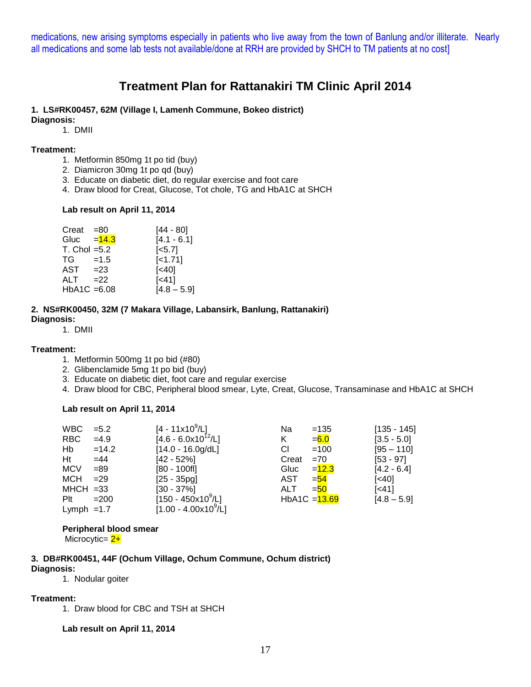medications, new arising symptoms especially in patients who live away from the town of Banlung and/or illiterate. Nearly all medications and some lab tests not available/done at RRH are provided by SHCH to TM patients at no cost]

### **Treatment Plan for Rattanakiri TM Clinic April 2014**

#### **1. LS#RK00457, 62M (Village I, Lamenh Commune, Bokeo district)**

**Diagnosis:**

#### 1. DMII

#### **Treatment:**

- 1. Metformin 850mg 1t po tid (buy)
- 2. Diamicron 30mg 1t po qd (buy)
- 3. Educate on diabetic diet, do regular exercise and foot care
- 4. Draw blood for Creat, Glucose, Tot chole, TG and HbA1C at SHCH

#### **Lab result on April 11, 2014**

| Creat             | =80      | [44 - 80]             |
|-------------------|----------|-----------------------|
| Gluc              | $= 14.3$ | $[4.1 - 6.1]$         |
| $T.$ Chol = $5.2$ |          | $\left[ <5.7 \right]$ |
| TG —              | $=1.5$   | $[-1.71]$             |
| $AST = 23$        |          | [<40]                 |
| ALT               | $=22$    | $\left[ < 41 \right]$ |
| $HbA1C = 6.08$    |          | $[4.8 - 5.9]$         |

#### **2. NS#RK00450, 32M (7 Makara Village, Labansirk, Banlung, Rattanakiri) Diagnosis:**

1. DMII

#### **Treatment:**

- 1. Metformin 500mg 1t po bid (#80)
- 2. Glibenclamide 5mg 1t po bid (buy)
- 3. Educate on diabetic diet, foot care and regular exercise
- 4. Draw blood for CBC, Peripheral blood smear, Lyte, Creat, Glucose, Transaminase and HbA1C at SHCH

#### **Lab result on April 11, 2014**

| <b>WBC</b>   | $= 5.2$ | [4 - 11x10 $^9$ /L]                  | Na    | $=135$          | $[135 - 145]$     |
|--------------|---------|--------------------------------------|-------|-----------------|-------------------|
| <b>RBC</b>   | $=4.9$  | $[4.6 - 6.0x10^{12}/L]$              | K.    | $= 6.0$         | $[3.5 - 5.0]$     |
| Hb           | $=14.2$ | $[14.0 - 16.0g/dL]$                  | СI    | $=100$          | $[95 - 110]$      |
| Ht           | $=44$   | $[42 - 52%]$                         | Creat | $=70$           | $[53 - 97]$       |
| <b>MCV</b>   | $= 89$  | $[80 - 100f]$                        | Gluc  | $= 12.3$        | $[4.2 - 6.4]$     |
| <b>MCH</b>   | $=29$   | $[25 - 35pq]$                        | AST   | $=$ 54          | $\left[40\right]$ |
| $MHCH = 33$  |         | $[30 - 37\%]$                        | ALT.  | $=$ 50          | [< 41]            |
| Plt          | $=200$  | $[150 - 450x10^9/L]$                 |       | HbA1C $=$ 13.69 | $[4.8 - 5.9]$     |
| Lymph $=1.7$ |         | $[1.00 - 4.00 \times 10^9/\text{L}]$ |       |                 |                   |

#### **Peripheral blood smear**

Microcytic=  $2+$ 

#### **3. DB#RK00451, 44F (Ochum Village, Ochum Commune, Ochum district)**

#### **Diagnosis:**

1. Nodular goiter

#### **Treatment:**

1. Draw blood for CBC and TSH at SHCH

#### **Lab result on April 11, 2014**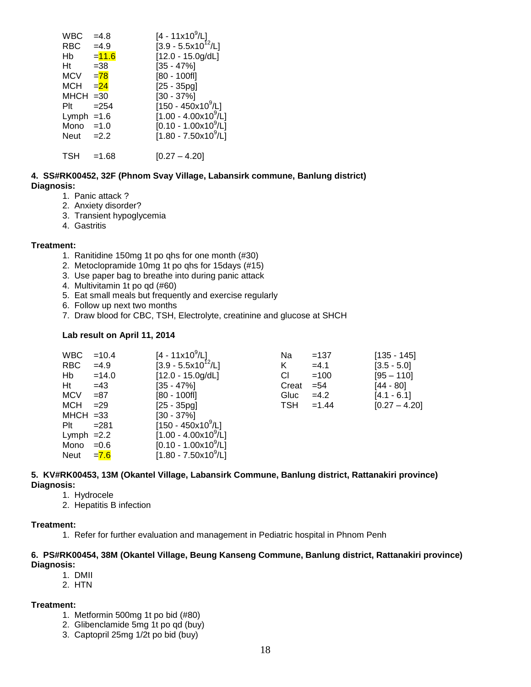| $=4.9$   | [4 - 11x10 <sup>9</sup> /L]<br>[3.9 - 5.5x10 <sup>12</sup> /L] |
|----------|----------------------------------------------------------------|
| $= 11.6$ | $[12.0 - 15.0g/dL]$                                            |
| $= 38$   | $[35 - 47\%]$                                                  |
| $= 78$   | [80 - 100fl]                                                   |
| $= 24$   | $[25 - 35pg]$                                                  |
| $=30$    | $[30 - 37\%]$                                                  |
| $= 254$  | [150 - 450x10 <sup>9</sup> /L]                                 |
| $=1.6$   | [1.00 - 4.00x10 <sup>9</sup> /L]                               |
| $=1.0$   | $[0.10 - 1.00x10^9/L]$                                         |
| $=2.2$   | [1.80 - 7.50x10 <sup>9</sup> /L]                               |
| $=1.68$  | $[0.27 - 4.20]$                                                |
|          | $=4.8$                                                         |

#### **4. SS#RK00452, 32F (Phnom Svay Village, Labansirk commune, Banlung district) Diagnosis:**

- 1. Panic attack ?
- 2. Anxiety disorder?
- 3. Transient hypoglycemia
- 4. Gastritis

#### **Treatment:**

- 1. Ranitidine 150mg 1t po qhs for one month (#30)
- 2. Metoclopramide 10mg 1t po qhs for 15days (#15)
- 3. Use paper bag to breathe into during panic attack
- 4. Multivitamin 1t po qd (#60)
- 5. Eat small meals but frequently and exercise regularly
- 6. Follow up next two months
- 7. Draw blood for CBC, TSH, Electrolyte, creatinine and glucose at SHCH

#### **Lab result on April 11, 2014**

| <b>WBC</b>   | $=10.4$ | $[4 - 11x10^9/L]$                    | Na    | $=137$  | $[135 - 145]$   |
|--------------|---------|--------------------------------------|-------|---------|-----------------|
| <b>RBC</b>   | $=4.9$  | $[3.9 - 5.5 \times 10^{12} / L]$     | K.    | $=4.1$  | $[3.5 - 5.0]$   |
| Hb           | $=14.0$ | $[12.0 - 15.0g/dL]$                  | CI.   | $=100$  | $[95 - 110]$    |
| Ht           | $=43$   | $[35 - 47\%]$                        | Creat | $= 54$  | [44 - 80]       |
| <b>MCV</b>   | $= 87$  | $[80 - 100$ fl]                      | Gluc  | $=4.2$  | $[4.1 - 6.1]$   |
| <b>MCH</b>   | $= 29$  | $[25 - 35pq]$                        | TSH   | $=1.44$ | $[0.27 - 4.20]$ |
| $MHCH = 33$  |         | $[30 - 37\%]$                        |       |         |                 |
| $P$ It       | $= 281$ | $[150 - 450x10^9/L]$                 |       |         |                 |
| Lymph $=2.2$ |         | $[1.00 - 4.00 \times 10^9/\text{L}]$ |       |         |                 |
| Mono         | $=0.6$  | $[0.10 - 1.00 \times 10^9/L]$        |       |         |                 |
| Neut         | $= 7.6$ | $[1.80 - 7.50 \times 10^9/\text{L}]$ |       |         |                 |

#### **5. KV#RK00453, 13M (Okantel Village, Labansirk Commune, Banlung district, Rattanakiri province) Diagnosis:**

- 1. Hydrocele
- 2. Hepatitis B infection

#### **Treatment:**

1. Refer for further evaluation and management in Pediatric hospital in Phnom Penh

#### **6. PS#RK00454, 38M (Okantel Village, Beung Kanseng Commune, Banlung district, Rattanakiri province) Diagnosis:**

- 1. DMII
- 2. HTN

#### **Treatment:**

- 1. Metformin 500mg 1t po bid (#80)
- 2. Glibenclamide 5mg 1t po qd (buy)
- 3. Captopril 25mg 1/2t po bid (buy)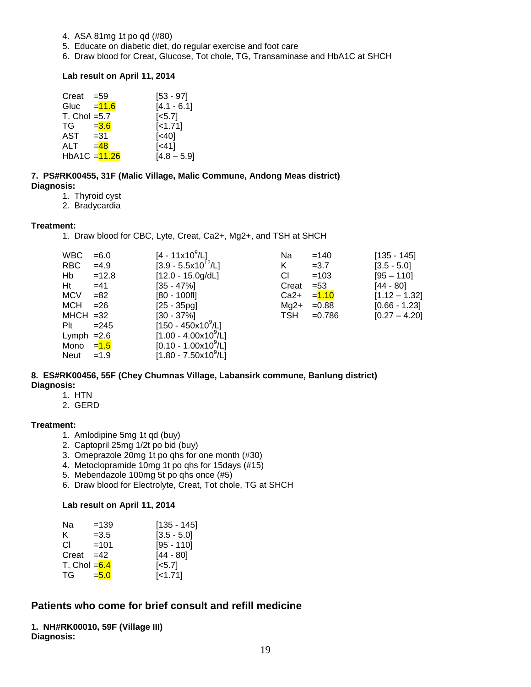- 4. ASA 81mg 1t po qd (#80)
- 5. Educate on diabetic diet, do regular exercise and foot care
- 6. Draw blood for Creat, Glucose, Tot chole, TG, Transaminase and HbA1C at SHCH

#### **Lab result on April 11, 2014**

| Creat             | $= 59$   | $[53 - 97]$        |
|-------------------|----------|--------------------|
| Gluc              | $= 11.6$ | $[4.1 - 6.1]$      |
| $T.$ Chol = $5.7$ |          | [ <sub>5.7</sub> ] |
| TG                | $= 3.6$  | $[-1.71]$          |
| AST               | $= 31$   | $[<40]$            |
| ALT               | $= 48$   | $[<41]$            |
| HbA1C = 11.26     |          | $[4.8 - 5.9]$      |

**7. PS#RK00455, 31F (Malic Village, Malic Commune, Andong Meas district) Diagnosis:**

1. Thyroid cyst

2. Bradycardia

#### **Treatment:**

1. Draw blood for CBC, Lyte, Creat, Ca2+, Mg2+, and TSH at SHCH

| WBC.                    | $= 6.0$ | $[4 - 11x10^9/L]$                    | Na     | $=140$    | $[135 - 145]$   |
|-------------------------|---------|--------------------------------------|--------|-----------|-----------------|
| RBC                     | $=4.9$  | $[3.9 - 5.5x10^{12}/L]$              | Κ      | $=3.7$    | $[3.5 - 5.0]$   |
| Hb                      | $=12.8$ | $[12.0 - 15.0g/dL]$                  | СI     | $=103$    | $[95 - 110]$    |
| Ht                      | $=41$   | $[35 - 47\%]$                        | Creat  | $= 53$    | $[44 - 80]$     |
| <b>MCV</b>              | $= 82$  | $[80 - 100$ fl]                      | $Ca2+$ | $= 1.10$  | $[1.12 - 1.32]$ |
| МСН                     | $= 26$  | $[25 - 35pg]$                        | $Mg2+$ | $=0.88$   | $[0.66 - 1.23]$ |
| $MHCH = 32$             |         | $[30 - 37\%]$                        | TSH    | $= 0.786$ | $[0.27 - 4.20]$ |
| Plt                     | $= 245$ | $[150 - 450 \times 10^9/\text{L}]$   |        |           |                 |
| Lymph $=2.6$            |         | $[1.00 - 4.00 \times 10^{9} / L]$    |        |           |                 |
| Mono = <mark>1.5</mark> |         | $[0.10 - 1.00 \times 10^9/L]$        |        |           |                 |
| Neut                    | $=1.9$  | $[1.80 - 7.50 \times 10^9/\text{L}]$ |        |           |                 |

#### **8. ES#RK00456, 55F (Chey Chumnas Village, Labansirk commune, Banlung district) Diagnosis:**

- 1. HTN
- 2. GERD

#### **Treatment:**

- 1. Amlodipine 5mg 1t qd (buy)
- 2. Captopril 25mg 1/2t po bid (buy)
- 3. Omeprazole 20mg 1t po qhs for one month (#30)
- 4. Metoclopramide 10mg 1t po qhs for 15days (#15)
- 5. Mebendazole 100mg 5t po qhs once (#5)
- 6. Draw blood for Electrolyte, Creat, Tot chole, TG at SHCH

#### **Lab result on April 11, 2014**

| Na                         | $=139$  | [135 - 145]           |
|----------------------------|---------|-----------------------|
| K.                         | $=3.5$  | $[3.5 - 5.0]$         |
| СI                         | $=101$  | $[95 - 110]$          |
| Creat                      | $=42$   | $[44 - 80]$           |
| T. Chol = <mark>6.4</mark> |         | $\left[ <5.7 \right]$ |
| TG -                       | $= 5.0$ | [<1.71]               |

#### **Patients who come for brief consult and refill medicine**

**1. NH#RK00010, 59F (Village III) Diagnosis:**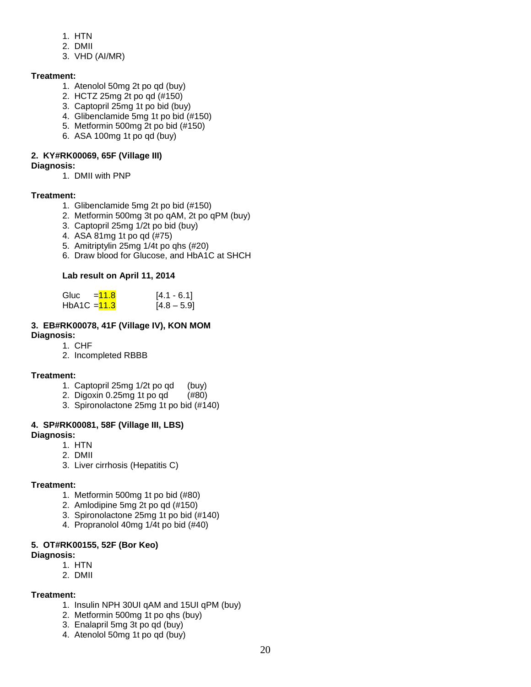- 1. HTN
- 2. DMII
- 3. VHD (AI/MR)

#### **Treatment:**

- 1. Atenolol 50mg 2t po qd (buy)
- 2. HCTZ 25mg 2t po qd (#150)
- 3. Captopril 25mg 1t po bid (buy)
- 4. Glibenclamide 5mg 1t po bid (#150)
- 5. Metformin 500mg 2t po bid (#150)
- 6. ASA 100mg 1t po qd (buy)

#### **2. KY#RK00069, 65F (Village III)**

#### **Diagnosis:**

1. DMII with PNP

#### **Treatment:**

- 1. Glibenclamide 5mg 2t po bid (#150)
- 2. Metformin 500mg 3t po qAM, 2t po qPM (buy)
- 3. Captopril 25mg 1/2t po bid (buy)
- 4. ASA 81mg 1t po qd (#75)
- 5. Amitriptylin 25mg 1/4t po qhs (#20)
- 6. Draw blood for Glucose, and HbA1C at SHCH

#### **Lab result on April 11, 2014**

| Gluc           | $= 11.8$ | $[4.1 - 6.1]$ |
|----------------|----------|---------------|
| HbA1C $=$ 11.3 |          | $[4.8 - 5.9]$ |

#### **3. EB#RK00078, 41F (Village IV), KON MOM Diagnosis:**

- 1. CHF
- 2. Incompleted RBBB

#### **Treatment:**

- 1. Captopril 25mg 1/2t po qd (buy)
- 2. Digoxin 0.25mg 1t po qd (#80)
- 3. Spironolactone 25mg 1t po bid (#140)

#### **4. SP#RK00081, 58F (Village III, LBS) Diagnosis:**

- 1. HTN
	- 2. DMII
	-
	- 3. Liver cirrhosis (Hepatitis C)

#### **Treatment:**

- 1. Metformin 500mg 1t po bid (#80)
- 2. Amlodipine 5mg 2t po qd (#150)
- 3. Spironolactone 25mg 1t po bid (#140)
- 4. Propranolol 40mg 1/4t po bid (#40)

#### **5. OT#RK00155, 52F (Bor Keo)**

#### **Diagnosis:**

- 1. HTN
- 2. DMII

#### **Treatment:**

- 1. Insulin NPH 30UI qAM and 15UI qPM (buy)
- 2. Metformin 500mg 1t po qhs (buy)
- 3. Enalapril 5mg 3t po qd (buy)
- 4. Atenolol 50mg 1t po qd (buy)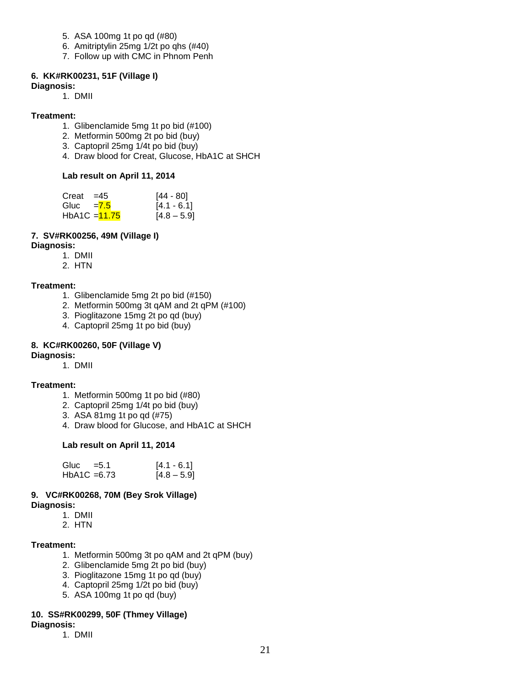- 5. ASA 100mg 1t po qd (#80)
- 6. Amitriptylin 25mg 1/2t po qhs (#40)
- 7. Follow up with CMC in Phnom Penh

#### **6. KK#RK00231, 51F (Village I)**

**Diagnosis:** 

1. DMII

#### **Treatment:**

- 1. Glibenclamide 5mg 1t po bid (#100)
- 2. Metformin 500mg 2t po bid (buy)
- 3. Captopril 25mg 1/4t po bid (buy)
- 4. Draw blood for Creat, Glucose, HbA1C at SHCH

#### **Lab result on April 11, 2014**

| Creat        | $=45$           | [44 - 80]     |
|--------------|-----------------|---------------|
| Gluc $= 7.5$ |                 | $[4.1 - 6.1]$ |
|              | HbA1C $=$ 11.75 | $[4.8 - 5.9]$ |

#### **7. SV#RK00256, 49M (Village I)**

#### **Diagnosis:**

- 1. DMII
- 2. HTN

#### **Treatment:**

- 1. Glibenclamide 5mg 2t po bid (#150)
- 2. Metformin 500mg 3t qAM and 2t qPM (#100)
- 3. Pioglitazone 15mg 2t po qd (buy)
- 4. Captopril 25mg 1t po bid (buy)

#### **8. KC#RK00260, 50F (Village V)**

#### **Diagnosis:**

1. DMII

#### **Treatment:**

- 1. Metformin 500mg 1t po bid (#80)
- 2. Captopril 25mg 1/4t po bid (buy)
- 3. ASA 81mg 1t po qd (#75)
- 4. Draw blood for Glucose, and HbA1C at SHCH

#### **Lab result on April 11, 2014**

| Gluc          | $= 5.1$ | $[4.1 - 6.1]$ |
|---------------|---------|---------------|
| HbA1C $=6.73$ |         | $[4.8 - 5.9]$ |

# **9. VC#RK00268, 70M (Bey Srok Village)**

**Diagnosis:** 

- 1. DMII
- 2. HTN

#### **Treatment:**

- 1. Metformin 500mg 3t po qAM and 2t qPM (buy)
- 2. Glibenclamide 5mg 2t po bid (buy)
- 3. Pioglitazone 15mg 1t po qd (buy)
- 4. Captopril 25mg 1/2t po bid (buy)
- 5. ASA 100mg 1t po qd (buy)

#### **10. SS#RK00299, 50F (Thmey Village)**

#### **Diagnosis:**

1. DMII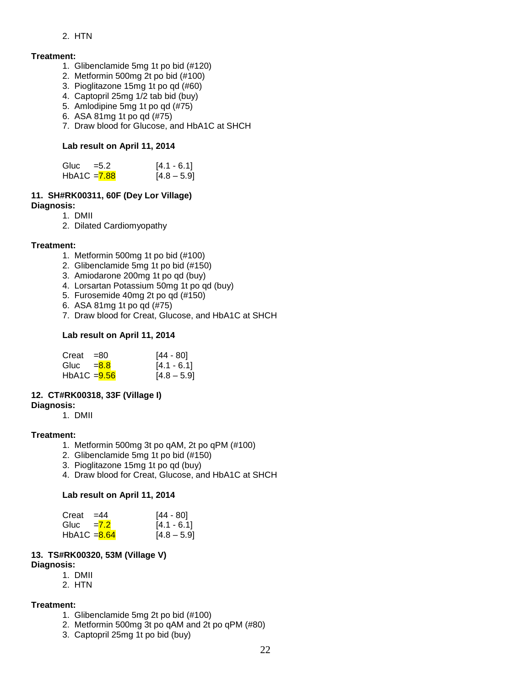#### 2. HTN

#### **Treatment:**

- 1. Glibenclamide 5mg 1t po bid (#120)
- 2. Metformin 500mg 2t po bid (#100)
- 3. Pioglitazone 15mg 1t po qd (#60)
- 4. Captopril 25mg 1/2 tab bid (buy)
- 5. Amlodipine 5mg 1t po qd (#75)
- 6. ASA 81mg 1t po qd (#75)
- 7. Draw blood for Glucose, and HbA1C at SHCH

#### **Lab result on April 11, 2014**

| Gluc           | $= 5.2$ | $[4.1 - 6.1]$ |
|----------------|---------|---------------|
| $HbA1C = 7.88$ |         | $[4.8 - 5.9]$ |

#### **11. SH#RK00311, 60F (Dey Lor Village) Diagnosis:**

- 1. DMII
- 2. Dilated Cardiomyopathy

#### **Treatment:**

- 1. Metformin 500mg 1t po bid (#100)
- 2. Glibenclamide 5mg 1t po bid (#150)
- 3. Amiodarone 200mg 1t po qd (buy)
- 4. Lorsartan Potassium 50mg 1t po qd (buy)
- 5. Furosemide 40mg 2t po qd (#150)
- 6. ASA 81mg 1t po qd (#75)
- 7. Draw blood for Creat, Glucose, and HbA1C at SHCH

#### **Lab result on April 11, 2014**

| Creat $=80$    | [44 - 80]     |
|----------------|---------------|
| Gluc $= 8.8$   | $[4.1 - 6.1]$ |
| $HbA1C = 9.56$ | $[4.8 - 5.9]$ |

#### **12. CT#RK00318, 33F (Village I)**

#### **Diagnosis:**

1. DMII

#### **Treatment:**

- 1. Metformin 500mg 3t po qAM, 2t po qPM (#100)
- 2. Glibenclamide 5mg 1t po bid (#150)
- 3. Pioglitazone 15mg 1t po qd (buy)
- 4. Draw blood for Creat, Glucose, and HbA1C at SHCH

#### **Lab result on April 11, 2014**

| Creat          | $=44$ | [44 - 80]     |
|----------------|-------|---------------|
| Gluc $=7.2$    |       | $[4.1 - 6.1]$ |
| HbA1C $= 8.64$ |       | $[4.8 - 5.9]$ |

#### **13. TS#RK00320, 53M (Village V) Diagnosis:**

- 1. DMII
- 2. HTN

#### **Treatment:**

- 1. Glibenclamide 5mg 2t po bid (#100)
- 2. Metformin 500mg 3t po qAM and 2t po qPM (#80)
- 3. Captopril 25mg 1t po bid (buy)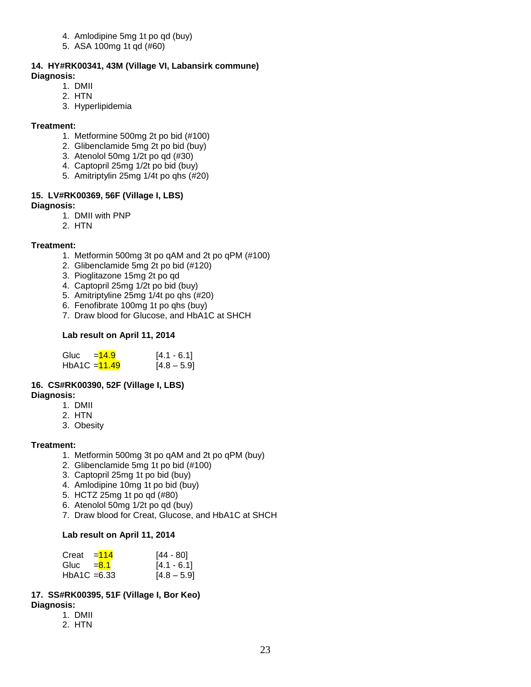- 4. Amlodipine 5mg 1t po qd (buy)
- 5. ASA 100mg 1t qd (#60)

#### **14. HY#RK00341, 43M (Village VI, Labansirk commune) Diagnosis:**

- 1. DMII
- 2. HTN
- 3. Hyperlipidemia

#### **Treatment:**

- 1. Metformine 500mg 2t po bid (#100)
- 2. Glibenclamide 5mg 2t po bid (buy)
- 3. Atenolol 50mg 1/2t po qd (#30)
- 4. Captopril 25mg 1/2t po bid (buy)
- 5. Amitriptylin 25mg 1/4t po qhs (#20)

#### **15. LV#RK00369, 56F (Village I, LBS) Diagnosis:**

- 1. DMII with PNP
- 2. HTN

#### **Treatment:**

- 1. Metformin 500mg 3t po qAM and 2t po qPM (#100)
- 2. Glibenclamide 5mg 2t po bid (#120)
- 3. Pioglitazone 15mg 2t po qd
- 4. Captopril 25mg 1/2t po bid (buy)
- 5. Amitriptyline 25mg 1/4t po qhs (#20)
- 6. Fenofibrate 100mg 1t po qhs (buy)
- 7. Draw blood for Glucose, and HbA1C at SHCH

#### **Lab result on April 11, 2014**

| Gluc            | $=14.9$ | $[4.1 - 6.1]$ |
|-----------------|---------|---------------|
| $HbA1C = 11.49$ |         | $[4.8 - 5.9]$ |

#### **16. CS#RK00390, 52F (Village I, LBS)**

#### **Diagnosis:**

- 1. DMII
- 2. HTN
- 3. Obesity

#### **Treatment:**

- 1. Metformin 500mg 3t po qAM and 2t po qPM (buy)
- 2. Glibenclamide 5mg 1t po bid (#100)
- 3. Captopril 25mg 1t po bid (buy)
- 4. Amlodipine 10mg 1t po bid (buy)
- 5. HCTZ 25mg 1t po qd (#80)
- 6. Atenolol 50mg 1/2t po qd (buy)
- 7. Draw blood for Creat, Glucose, and HbA1C at SHCH

#### **Lab result on April 11, 2014**

| Creat          | $=114$ | $[44 - 80]$   |
|----------------|--------|---------------|
| Gluc $=8.1$    |        | $[4.1 - 6.1]$ |
| $HbA1C = 6.33$ |        | $[4.8 - 5.9]$ |

#### **17. SS#RK00395, 51F (Village I, Bor Keo) Diagnosis:**

- 1. DMII
- 2. HTN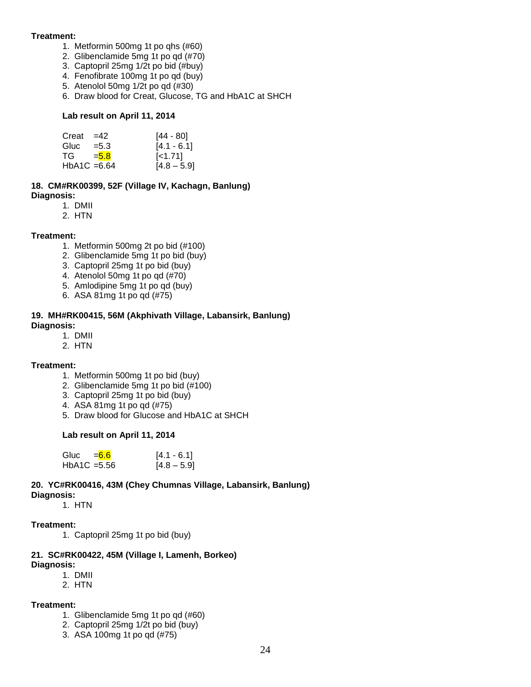#### **Treatment:**

- 1. Metformin 500mg 1t po qhs (#60)
- 2. Glibenclamide 5mg 1t po qd (#70)
- 3. Captopril 25mg 1/2t po bid (#buy)
- 4. Fenofibrate 100mg 1t po qd (buy)
- 5. Atenolol 50mg 1/2t po qd (#30)
- 6. Draw blood for Creat, Glucose, TG and HbA1C at SHCH

#### **Lab result on April 11, 2014**

| Creat          | $=42$   | [44 - 80]     |
|----------------|---------|---------------|
| Gluc           | $= 5.3$ | $[4.1 - 6.1]$ |
| TG –           | $= 5.8$ | $\leq 1.71$   |
| $HbA1C = 6.64$ |         | $[4.8 - 5.9]$ |

#### **18. CM#RK00399, 52F (Village IV, Kachagn, Banlung) Diagnosis:**

- 1. DMII
- 2. HTN

#### **Treatment:**

- 1. Metformin 500mg 2t po bid (#100)
- 2. Glibenclamide 5mg 1t po bid (buy)
- 3. Captopril 25mg 1t po bid (buy)
- 4. Atenolol 50mg 1t po qd (#70)
- 5. Amlodipine 5mg 1t po qd (buy)
- 6. ASA 81mg 1t po qd (#75)

# **19. MH#RK00415, 56M (Akphivath Village, Labansirk, Banlung)**

- **Diagnosis:**
	- 1. DMII
	- 2. HTN

#### **Treatment:**

- 1. Metformin 500mg 1t po bid (buy)
- 2. Glibenclamide 5mg 1t po bid (#100)
- 3. Captopril 25mg 1t po bid (buy)
- 4. ASA 81mg 1t po qd (#75)
- 5. Draw blood for Glucose and HbA1C at SHCH

#### **Lab result on April 11, 2014**

| Gluc $=6.6$    | $[4.1 - 6.1]$ |
|----------------|---------------|
| $HbA1C = 5.56$ | $[4.8 - 5.9]$ |

## **20. YC#RK00416, 43M (Chey Chumnas Village, Labansirk, Banlung)**

**Diagnosis:**

1. HTN

#### **Treatment:**

1. Captopril 25mg 1t po bid (buy)

#### **21. SC#RK00422, 45M (Village I, Lamenh, Borkeo) Diagnosis:**

- 1. DMII
- 2. HTN

#### **Treatment:**

- 1. Glibenclamide 5mg 1t po qd (#60)
- 2. Captopril 25mg 1/2t po bid (buy)
- 3. ASA 100mg 1t po qd (#75)